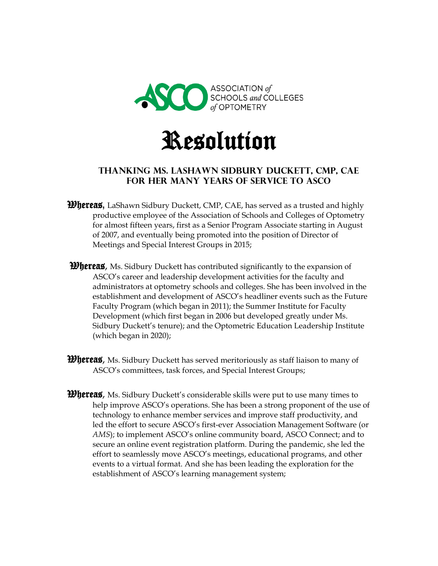



## **Thanking Ms. Lashawn Sidbury duckett, CMP, CAE for Her many Years of Service to ASCO**

- Whereas**,** LaShawn Sidbury Duckett, CMP, CAE, has served as a trusted and highly productive employee of the Association of Schools and Colleges of Optometry for almost fifteen years, first as a Senior Program Associate starting in August of 2007, and eventually being promoted into the position of Director of Meetings and Special Interest Groups in 2015;
- **Whereas**, Ms. Sidbury Duckett has contributed significantly to the expansion of ASCO's career and leadership development activities for the faculty and administrators at optometry schools and colleges. She has been involved in the establishment and development of ASCO's headliner events such as the Future Faculty Program (which began in 2011); the Summer Institute for Faculty Development (which first began in 2006 but developed greatly under Ms. Sidbury Duckett's tenure); and the Optometric Education Leadership Institute (which began in 2020);
- *Whereas*, Ms. Sidbury Duckett has served meritoriously as staff liaison to many of ASCO's committees, task forces, and Special Interest Groups;
- **Whereas**, Ms. Sidbury Duckett's considerable skills were put to use many times to help improve ASCO's operations. She has been a strong proponent of the use of technology to enhance member services and improve staff productivity, and led the effort to secure ASCO's first-ever Association Management Software (or *AMS*); to implement ASCO's online community board, ASCO Connect; and to secure an online event registration platform. During the pandemic, she led the effort to seamlessly move ASCO's meetings, educational programs, and other events to a virtual format. And she has been leading the exploration for the establishment of ASCO's learning management system;